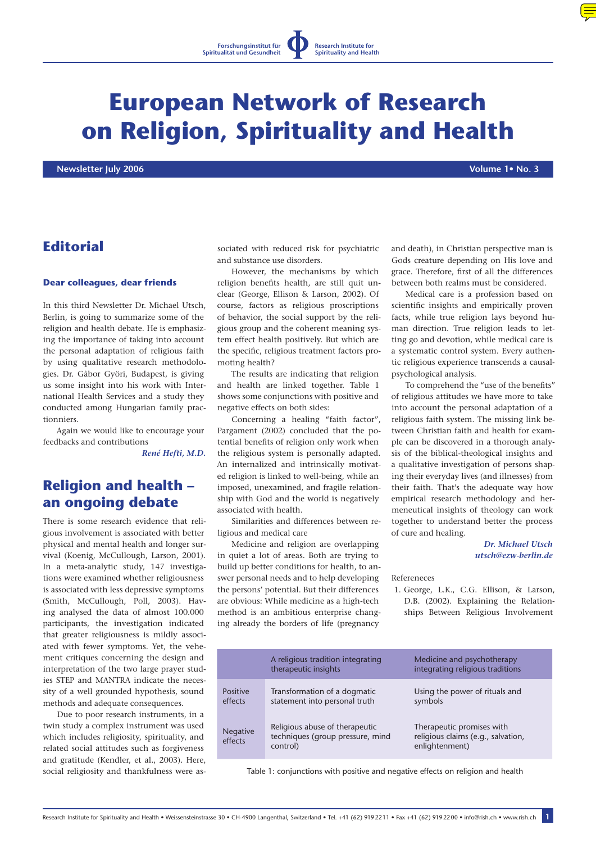# **European Network of Research on Religion, Spirituality and Health**

 **Newsletter July 2006 Volume 1• No. 3**

# **Editorial**

#### **Dear colleagues, dear friends**

In this third Newsletter Dr. Michael Utsch, Berlin, is going to summarize some of the religion and health debate. He is emphasizing the importance of taking into account the personal adaptation of religious faith by using qualitative research methodologies. Dr. Gàbor Györi, Budapest, is giving us some insight into his work with International Health Services and a study they conducted among Hungarian family practionniers.

Again we would like to encourage your feedbacks and contributions

*[René Hefti, M.D.](mailto:info@rish.ch)*

# **Religion and health – an ongoing debate**

There is some research evidence that religious involvement is associated with better physical and mental health and longer survival (Koenig, McCullough, Larson, 2001). In a meta-analytic study, 147 investigations were examined whether religiousness is associated with less depressive symptoms (Smith, McCullough, Poll, 2003). Having analysed the data of almost 100.000 participants, the investigation indicated that greater religiousness is mildly associated with fewer symptoms. Yet, the vehement critiques concerning the design and interpretation of the two large prayer studies STEP and MANTRA indicate the necessity of a well grounded hypothesis, sound methods and adequate consequences.

Due to poor research instruments, in a twin study a complex instrument was used which includes religiosity, spirituality, and related social attitudes such as forgiveness and gratitude (Kendler, et al., 2003). Here, social religiosity and thankfulness were associated with reduced risk for psychiatric and substance use disorders.

However, the mechanisms by which religion benefits health, are still quit unclear (George, Ellison & Larson, 2002). Of course, factors as religious proscriptions of behavior, the social support by the religious group and the coherent meaning system effect health positively. But which are the specific, religious treatment factors promoting health?

The results are indicating that religion and health are linked together. Table 1 shows some conjunctions with positive and negative effects on both sides:

Concerning a healing "faith factor", Pargament (2002) concluded that the potential benefits of religion only work when the religious system is personally adapted. An internalized and intrinsically motivated religion is linked to well-being, while an imposed, unexamined, and fragile relationship with God and the world is negatively associated with health.

Similarities and differences between religious and medical care

Medicine and religion are overlapping in quiet a lot of areas. Both are trying to build up better conditions for health, to answer personal needs and to help developing the persons' potential. But their differences are obvious: While medicine as a high-tech method is an ambitious enterprise changing already the borders of life (pregnancy

and death), in Christian perspective man is Gods creature depending on His love and grace. Therefore, first of all the differences between both realms must be considered.

Medical care is a profession based on scientific insights and empirically proven facts, while true religion lays beyond human direction. True religion leads to letting go and devotion, while medical care is a systematic control system. Every authentic religious experience transcends a causalpsychological analysis.

To comprehend the "use of the benefits" of religious attitudes we have more to take into account the personal adaptation of a religious faith system. The missing link between Christian faith and health for example can be discovered in a thorough analysis of the biblical-theological insights and a qualitative investigation of persons shaping their everyday lives (and illnesses) from their faith. That's the adequate way how empirical research methodology and hermeneutical insights of theology can work together to understand better the process of cure and healing.

#### *Dr. Michael Utsch [utsch@ezw-berlin.de](mailto:utsch@ezw-berlin.de)*

Refereneces

 1. George, L.K., C.G. Ellison, & Larson, D.B. (2002). Explaining the Relationships Between Religious Involvement

|                            | A religious tradition integrating<br>therapeutic insights                      | Medicine and psychotherapy<br>integrating religious traditions                    |
|----------------------------|--------------------------------------------------------------------------------|-----------------------------------------------------------------------------------|
| Positive<br>effects        | Transformation of a dogmatic<br>statement into personal truth                  | Using the power of rituals and<br>symbols                                         |
| <b>Negative</b><br>effects | Religious abuse of therapeutic<br>techniques (group pressure, mind<br>control) | Therapeutic promises with<br>religious claims (e.g., salvation,<br>enlightenment) |

Table 1: conjunctions with positive and negative effects on religion and health